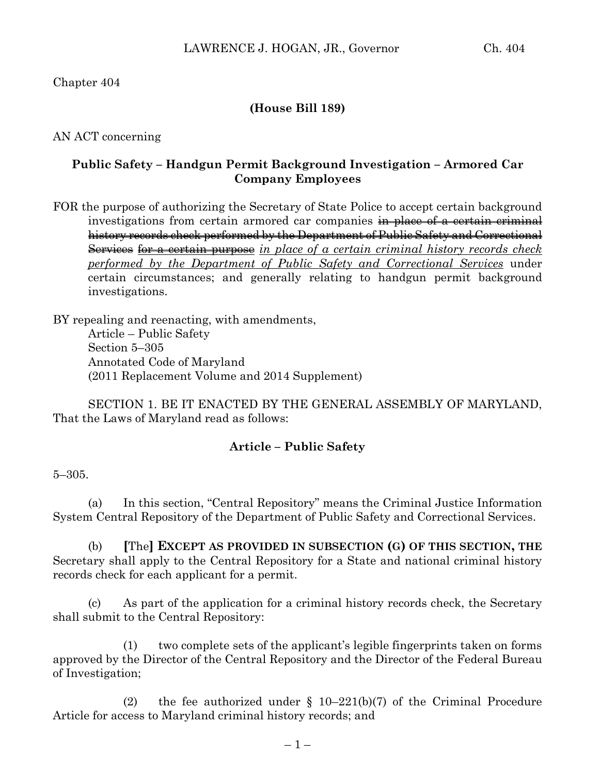Chapter 404

### **(House Bill 189)**

AN ACT concerning

## **Public Safety – Handgun Permit Background Investigation – Armored Car Company Employees**

FOR the purpose of authorizing the Secretary of State Police to accept certain background investigations from certain armored car companies in place of a certain criminal history records check performed by the Department of Public Safety and Correctional Services for a certain purpose *in place of a certain criminal history records check performed by the Department of Public Safety and Correctional Services* under certain circumstances; and generally relating to handgun permit background investigations.

BY repealing and reenacting, with amendments, Article – Public Safety Section 5–305 Annotated Code of Maryland (2011 Replacement Volume and 2014 Supplement)

SECTION 1. BE IT ENACTED BY THE GENERAL ASSEMBLY OF MARYLAND, That the Laws of Maryland read as follows:

## **Article – Public Safety**

5–305.

(a) In this section, "Central Repository" means the Criminal Justice Information System Central Repository of the Department of Public Safety and Correctional Services.

(b) **[**The**] EXCEPT AS PROVIDED IN SUBSECTION (G) OF THIS SECTION, THE** Secretary shall apply to the Central Repository for a State and national criminal history records check for each applicant for a permit.

(c) As part of the application for a criminal history records check, the Secretary shall submit to the Central Repository:

(1) two complete sets of the applicant's legible fingerprints taken on forms approved by the Director of the Central Repository and the Director of the Federal Bureau of Investigation;

(2) the fee authorized under  $\S$  10–221(b)(7) of the Criminal Procedure Article for access to Maryland criminal history records; and